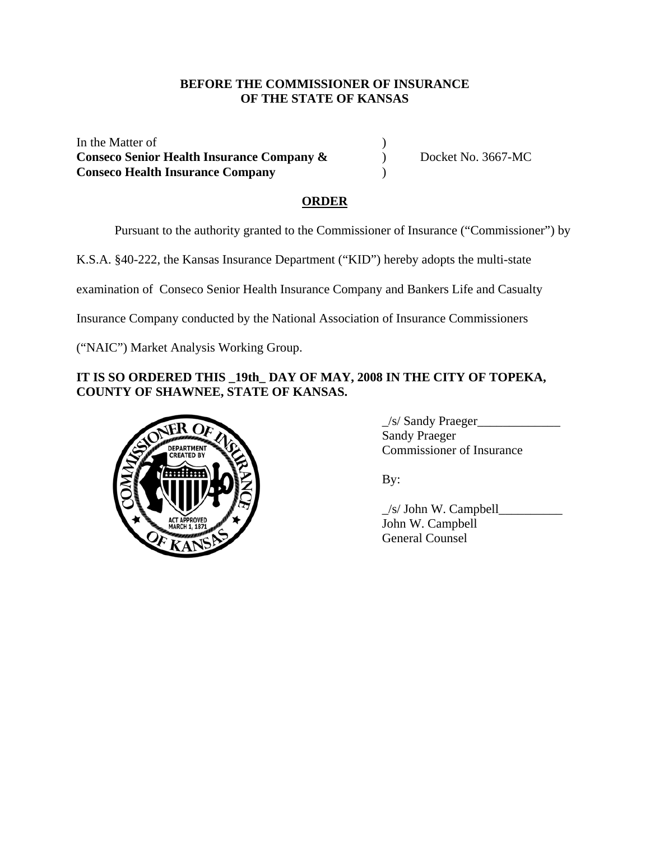### **BEFORE THE COMMISSIONER OF INSURANCE OF THE STATE OF KANSAS**

In the Matter of  $\blacksquare$ **Conseco Senior Health Insurance Company &** Docket No. 3667-MC **Conseco Health Insurance Company** )

# **ORDER**

Pursuant to the authority granted to the Commissioner of Insurance ("Commissioner") by

K.S.A. §40-222, the Kansas Insurance Department ("KID") hereby adopts the multi-state

examination of Conseco Senior Health Insurance Company and Bankers Life and Casualty

Insurance Company conducted by the National Association of Insurance Commissioners

("NAIC") Market Analysis Working Group.

# **IT IS SO ORDERED THIS \_19th\_ DAY OF MAY, 2008 IN THE CITY OF TOPEKA, COUNTY OF SHAWNEE, STATE OF KANSAS.**



\_/s/ Sandy Praeger\_\_\_\_\_\_\_\_\_\_\_\_\_ Sandy Praeger Commissioner of Insurance

 $\angle$ s/ John W. Campbell $\angle$  John W. Campbell General Counsel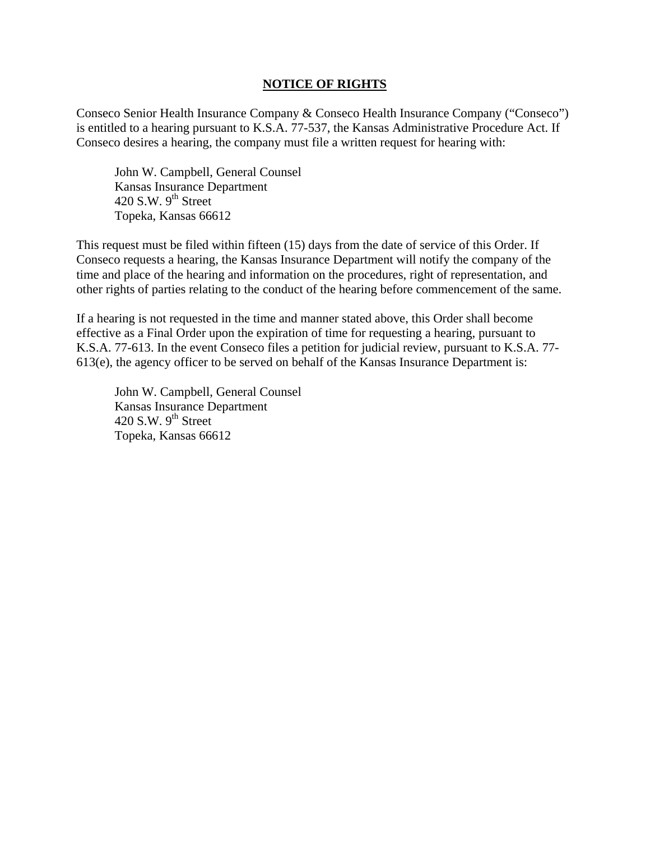#### **NOTICE OF RIGHTS**

Conseco Senior Health Insurance Company & Conseco Health Insurance Company ("Conseco") is entitled to a hearing pursuant to K.S.A. 77-537, the Kansas Administrative Procedure Act. If Conseco desires a hearing, the company must file a written request for hearing with:

 John W. Campbell, General Counsel Kansas Insurance Department 420 S.W.  $9^{th}$  Street Topeka, Kansas 66612

This request must be filed within fifteen (15) days from the date of service of this Order. If Conseco requests a hearing, the Kansas Insurance Department will notify the company of the time and place of the hearing and information on the procedures, right of representation, and other rights of parties relating to the conduct of the hearing before commencement of the same.

If a hearing is not requested in the time and manner stated above, this Order shall become effective as a Final Order upon the expiration of time for requesting a hearing, pursuant to K.S.A. 77-613. In the event Conseco files a petition for judicial review, pursuant to K.S.A. 77- 613(e), the agency officer to be served on behalf of the Kansas Insurance Department is:

 John W. Campbell, General Counsel Kansas Insurance Department 420 S.W.  $9<sup>th</sup>$  Street Topeka, Kansas 66612